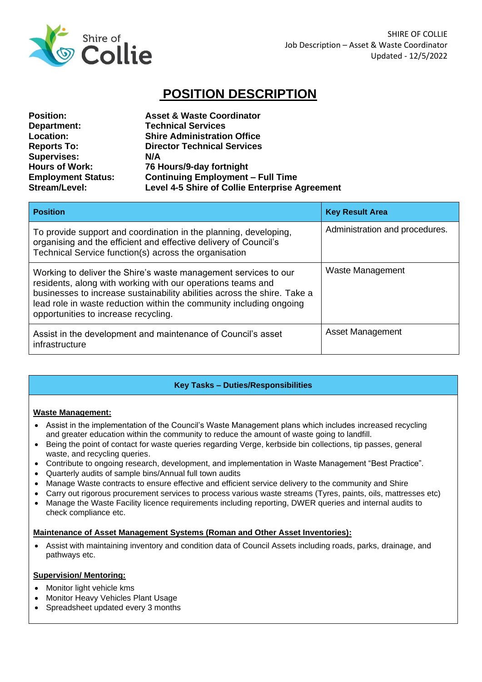

# **POSITION DESCRIPTION**

| <b>Position:</b>          | <b>Asset &amp; Waste Coordinator</b>           |
|---------------------------|------------------------------------------------|
| Department:               | <b>Technical Services</b>                      |
| <b>Location:</b>          | <b>Shire Administration Office</b>             |
| <b>Reports To:</b>        | <b>Director Technical Services</b>             |
| <b>Supervises:</b>        | N/A                                            |
| <b>Hours of Work:</b>     | 76 Hours/9-day fortnight                       |
| <b>Employment Status:</b> | <b>Continuing Employment - Full Time</b>       |
| Stream/Level:             | Level 4-5 Shire of Collie Enterprise Agreement |

| <b>Position</b>                                                                                                                                                                                                                                                                                                           | <b>Key Result Area</b>         |
|---------------------------------------------------------------------------------------------------------------------------------------------------------------------------------------------------------------------------------------------------------------------------------------------------------------------------|--------------------------------|
| To provide support and coordination in the planning, developing,<br>organising and the efficient and effective delivery of Council's<br>Technical Service function(s) across the organisation                                                                                                                             | Administration and procedures. |
| Working to deliver the Shire's waste management services to our<br>residents, along with working with our operations teams and<br>businesses to increase sustainability abilities across the shire. Take a<br>lead role in waste reduction within the community including ongoing<br>opportunities to increase recycling. | Waste Management               |
| Assist in the development and maintenance of Council's asset<br>infrastructure                                                                                                                                                                                                                                            | Asset Management               |

## **Key Tasks – Duties/Responsibilities**

#### **Waste Management:**

- Assist in the implementation of the Council's Waste Management plans which includes increased recycling and greater education within the community to reduce the amount of waste going to landfill.
- Being the point of contact for waste queries regarding Verge, kerbside bin collections, tip passes, general waste, and recycling queries.
- Contribute to ongoing research, development, and implementation in Waste Management "Best Practice".
- Quarterly audits of sample bins/Annual full town audits
- Manage Waste contracts to ensure effective and efficient service delivery to the community and Shire
- Carry out rigorous procurement services to process various waste streams (Tyres, paints, oils, mattresses etc)
- Manage the Waste Facility licence requirements including reporting, DWER queries and internal audits to check compliance etc.

#### **Maintenance of Asset Management Systems (Roman and Other Asset Inventories):**

• Assist with maintaining inventory and condition data of Council Assets including roads, parks, drainage, and pathways etc.

#### **Supervision/ Mentoring:**

- Monitor light vehicle kms
- Monitor Heavy Vehicles Plant Usage
- Spreadsheet updated every 3 months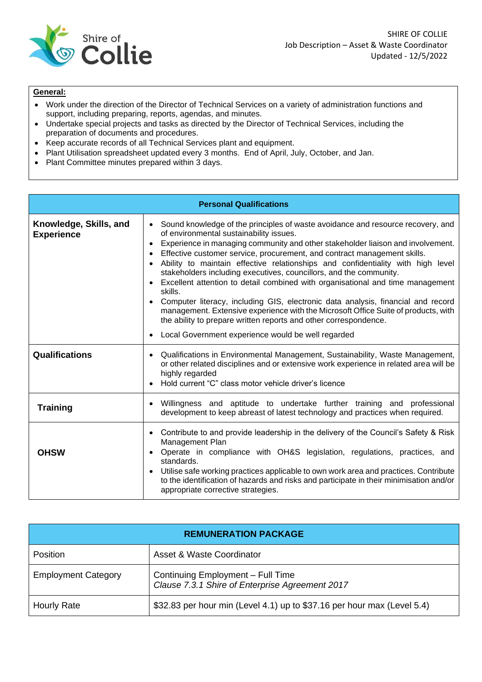

### **General:**

- Work under the direction of the Director of Technical Services on a variety of administration functions and support, including preparing, reports, agendas, and minutes.
- Undertake special projects and tasks as directed by the Director of Technical Services, including the preparation of documents and procedures.
- Keep accurate records of all Technical Services plant and equipment.
- Plant Utilisation spreadsheet updated every 3 months. End of April, July, October, and Jan.
- Plant Committee minutes prepared within 3 days.

| <b>Personal Qualifications</b>              |                                                                                                                                                                                                                                                                                                                                                                                                                                                                                                                                                                                                                                                                                                                                                                                                                                                                                                                                                |  |
|---------------------------------------------|------------------------------------------------------------------------------------------------------------------------------------------------------------------------------------------------------------------------------------------------------------------------------------------------------------------------------------------------------------------------------------------------------------------------------------------------------------------------------------------------------------------------------------------------------------------------------------------------------------------------------------------------------------------------------------------------------------------------------------------------------------------------------------------------------------------------------------------------------------------------------------------------------------------------------------------------|--|
| Knowledge, Skills, and<br><b>Experience</b> | Sound knowledge of the principles of waste avoidance and resource recovery, and<br>$\bullet$<br>of environmental sustainability issues.<br>Experience in managing community and other stakeholder liaison and involvement.<br>$\bullet$<br>Effective customer service, procurement, and contract management skills.<br>$\bullet$<br>Ability to maintain effective relationships and confidentiality with high level<br>$\bullet$<br>stakeholders including executives, councillors, and the community.<br>Excellent attention to detail combined with organisational and time management<br>$\bullet$<br>skills.<br>Computer literacy, including GIS, electronic data analysis, financial and record<br>$\bullet$<br>management. Extensive experience with the Microsoft Office Suite of products, with<br>the ability to prepare written reports and other correspondence.<br>Local Government experience would be well regarded<br>$\bullet$ |  |
| <b>Qualifications</b>                       | Qualifications in Environmental Management, Sustainability, Waste Management,<br>$\bullet$<br>or other related disciplines and or extensive work experience in related area will be<br>highly regarded<br>Hold current "C" class motor vehicle driver's licence<br>$\bullet$                                                                                                                                                                                                                                                                                                                                                                                                                                                                                                                                                                                                                                                                   |  |
| <b>Training</b>                             | Willingness and aptitude to undertake further training and professional<br>$\bullet$<br>development to keep abreast of latest technology and practices when required.                                                                                                                                                                                                                                                                                                                                                                                                                                                                                                                                                                                                                                                                                                                                                                          |  |
| <b>OHSW</b>                                 | Contribute to and provide leadership in the delivery of the Council's Safety & Risk<br>$\bullet$<br>Management Plan<br>Operate in compliance with OH&S legislation, regulations, practices, and<br>$\bullet$<br>standards.<br>Utilise safe working practices applicable to own work area and practices. Contribute<br>$\bullet$<br>to the identification of hazards and risks and participate in their minimisation and/or<br>appropriate corrective strategies.                                                                                                                                                                                                                                                                                                                                                                                                                                                                               |  |

| <b>REMUNERATION PACKAGE</b> |                                                                                      |  |
|-----------------------------|--------------------------------------------------------------------------------------|--|
| <b>Position</b>             | Asset & Waste Coordinator                                                            |  |
| <b>Employment Category</b>  | Continuing Employment - Full Time<br>Clause 7.3.1 Shire of Enterprise Agreement 2017 |  |
| Hourly Rate                 | \$32.83 per hour min (Level 4.1) up to \$37.16 per hour max (Level 5.4)              |  |